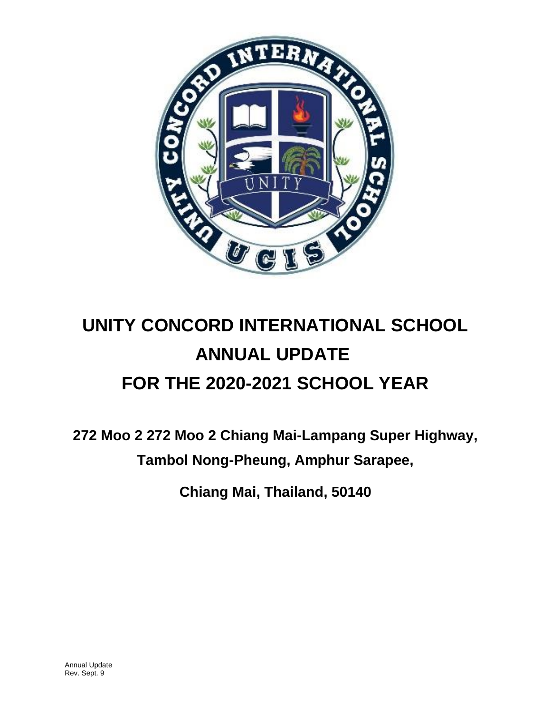

# **UNITY CONCORD INTERNATIONAL SCHOOL ANNUAL UPDATE FOR THE 2020-2021 SCHOOL YEAR**

**272 Moo 2 272 Moo 2 Chiang Mai-Lampang Super Highway, Tambol Nong-Pheung, Amphur Sarapee,** 

**Chiang Mai, Thailand, 50140**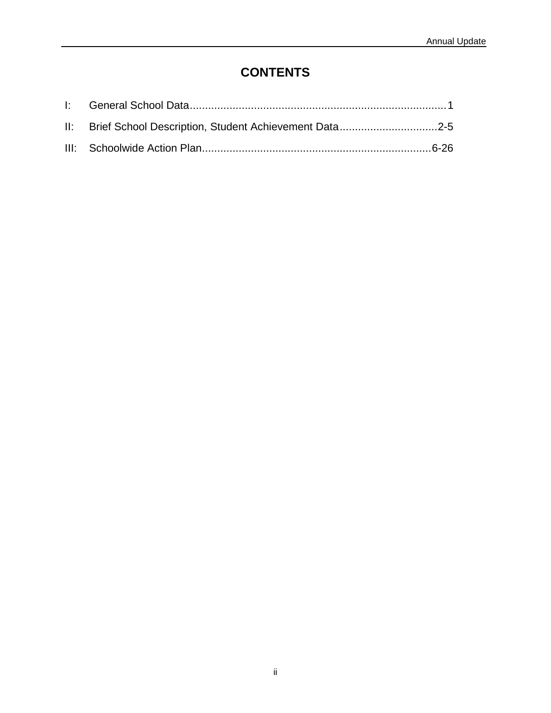# **CONTENTS**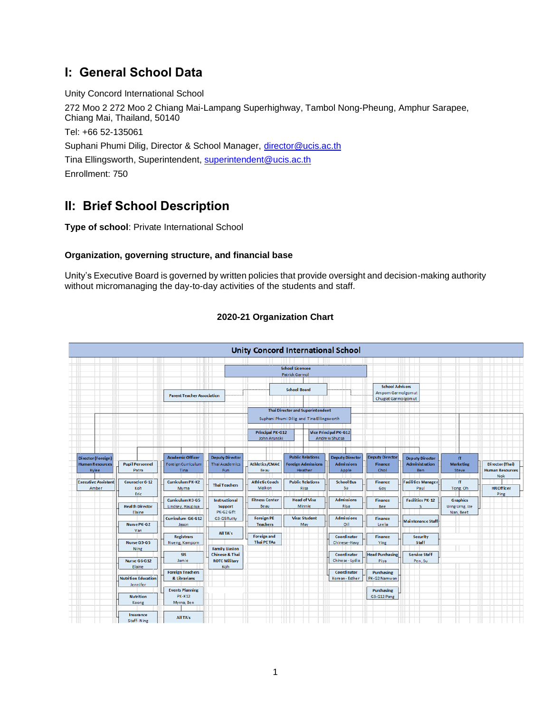# **I: General School Data**

Unity Concord International School 272 Moo 2 272 Moo 2 Chiang Mai-Lampang Superhighway, Tambol Nong-Pheung, Amphur Sarapee, Chiang Mai, Thailand, 50140 Tel: +66 52-135061 Suphani Phumi Dilig, Director & School Manager, [director@ucis.ac.th](mailto:director@ucis.ac.th) Tina Ellingsworth, Superintendent, [superintendent@ucis.ac.th](mailto:superintendent@ucis.ac.th) Enrollment: 750

# **II: Brief School Description**

**Type of school**: Private International School

### **Organization, governing structure, and financial base**

Unity's Executive Board is governed by written policies that provide oversight and decision-making authority without micromanaging the day-to-day activities of the students and staff.



### **2020-21 Organization Chart**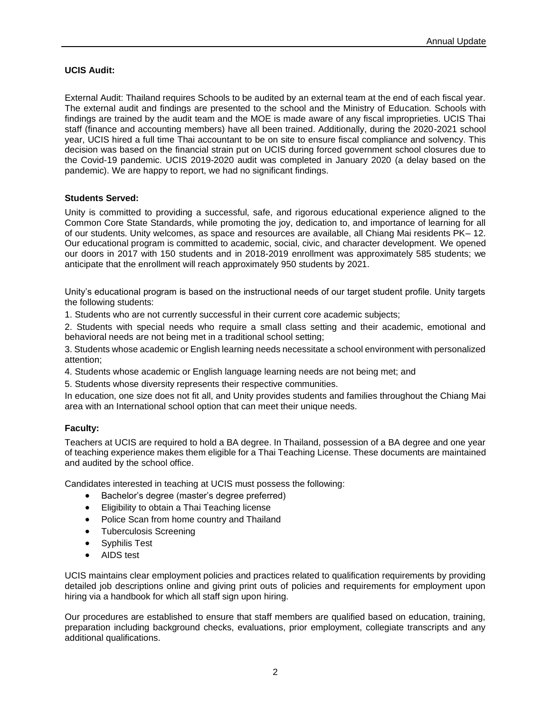### **UCIS Audit:**

External Audit: Thailand requires Schools to be audited by an external team at the end of each fiscal year. The external audit and findings are presented to the school and the Ministry of Education. Schools with findings are trained by the audit team and the MOE is made aware of any fiscal improprieties. UCIS Thai staff (finance and accounting members) have all been trained. Additionally, during the 2020-2021 school year, UCIS hired a full time Thai accountant to be on site to ensure fiscal compliance and solvency. This decision was based on the financial strain put on UCIS during forced government school closures due to the Covid-19 pandemic. UCIS 2019-2020 audit was completed in January 2020 (a delay based on the pandemic). We are happy to report, we had no significant findings.

### **Students Served:**

Unity is committed to providing a successful, safe, and rigorous educational experience aligned to the Common Core State Standards, while promoting the joy, dedication to, and importance of learning for all of our students. Unity welcomes, as space and resources are available, all Chiang Mai residents PK– 12. Our educational program is committed to academic, social, civic, and character development. We opened our doors in 2017 with 150 students and in 2018-2019 enrollment was approximately 585 students; we anticipate that the enrollment will reach approximately 950 students by 2021.

Unity's educational program is based on the instructional needs of our target student profile. Unity targets the following students:

1. Students who are not currently successful in their current core academic subjects;

2. Students with special needs who require a small class setting and their academic, emotional and behavioral needs are not being met in a traditional school setting;

3. Students whose academic or English learning needs necessitate a school environment with personalized attention;

4. Students whose academic or English language learning needs are not being met; and

5. Students whose diversity represents their respective communities.

In education, one size does not fit all, and Unity provides students and families throughout the Chiang Mai area with an International school option that can meet their unique needs.

### **Faculty:**

Teachers at UCIS are required to hold a BA degree. In Thailand, possession of a BA degree and one year of teaching experience makes them eligible for a Thai Teaching License. These documents are maintained and audited by the school office.

Candidates interested in teaching at UCIS must possess the following:

- Bachelor's degree (master's degree preferred)
- Eligibility to obtain a Thai Teaching license
- Police Scan from home country and Thailand
- Tuberculosis Screening
- Syphilis Test
- AIDS test

UCIS maintains clear employment policies and practices related to qualification requirements by providing detailed job descriptions online and giving print outs of policies and requirements for employment upon hiring via a handbook for which all staff sign upon hiring.

Our procedures are established to ensure that staff members are qualified based on education, training, preparation including background checks, evaluations, prior employment, collegiate transcripts and any additional qualifications.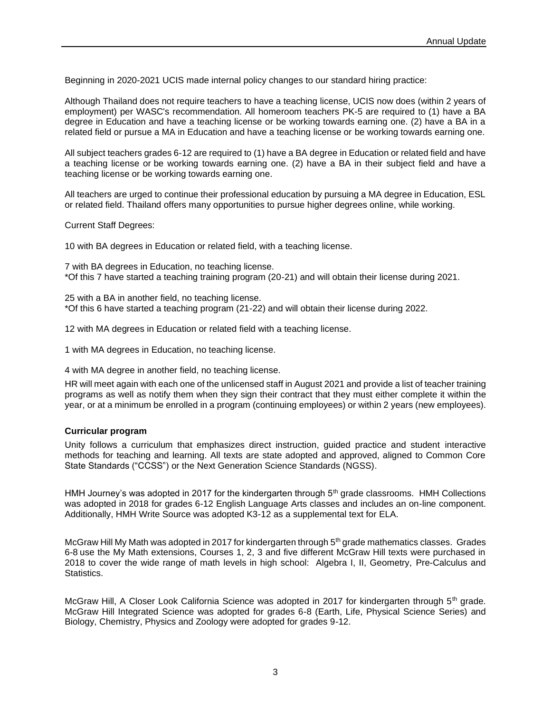Beginning in 2020-2021 UCIS made internal policy changes to our standard hiring practice:

Although Thailand does not require teachers to have a teaching license, UCIS now does (within 2 years of employment) per WASC's recommendation. All homeroom teachers PK-5 are required to (1) have a BA degree in Education and have a teaching license or be working towards earning one. (2) have a BA in a related field or pursue a MA in Education and have a teaching license or be working towards earning one.

All subject teachers grades 6-12 are required to (1) have a BA degree in Education or related field and have a teaching license or be working towards earning one. (2) have a BA in their subject field and have a teaching license or be working towards earning one.

All teachers are urged to continue their professional education by pursuing a MA degree in Education, ESL or related field. Thailand offers many opportunities to pursue higher degrees online, while working.

Current Staff Degrees:

10 with BA degrees in Education or related field, with a teaching license.

7 with BA degrees in Education, no teaching license. \*Of this 7 have started a teaching training program (20-21) and will obtain their license during 2021.

25 with a BA in another field, no teaching license. \*Of this 6 have started a teaching program (21-22) and will obtain their license during 2022.

12 with MA degrees in Education or related field with a teaching license.

1 with MA degrees in Education, no teaching license.

4 with MA degree in another field, no teaching license.

HR will meet again with each one of the unlicensed staff in August 2021 and provide a list of teacher training programs as well as notify them when they sign their contract that they must either complete it within the year, or at a minimum be enrolled in a program (continuing employees) or within 2 years (new employees).

### **Curricular program**

Unity follows a curriculum that emphasizes direct instruction, guided practice and student interactive methods for teaching and learning. All texts are state adopted and approved, aligned to Common Core State Standards ("CCSS") or the Next Generation Science Standards (NGSS).

HMH Journey's was adopted in 2017 for the kindergarten through  $5<sup>th</sup>$  grade classrooms. HMH Collections was adopted in 2018 for grades 6-12 English Language Arts classes and includes an on-line component. Additionally, HMH Write Source was adopted K3-12 as a supplemental text for ELA.

McGraw Hill My Math was adopted in 2017 for kindergarten through 5<sup>th</sup> grade mathematics classes. Grades 6-8 use the My Math extensions, Courses 1, 2, 3 and five different McGraw Hill texts were purchased in 2018 to cover the wide range of math levels in high school: Algebra I, II, Geometry, Pre-Calculus and Statistics.

McGraw Hill, A Closer Look California Science was adopted in 2017 for kindergarten through 5<sup>th</sup> grade. McGraw Hill Integrated Science was adopted for grades 6-8 (Earth, Life, Physical Science Series) and Biology, Chemistry, Physics and Zoology were adopted for grades 9-12.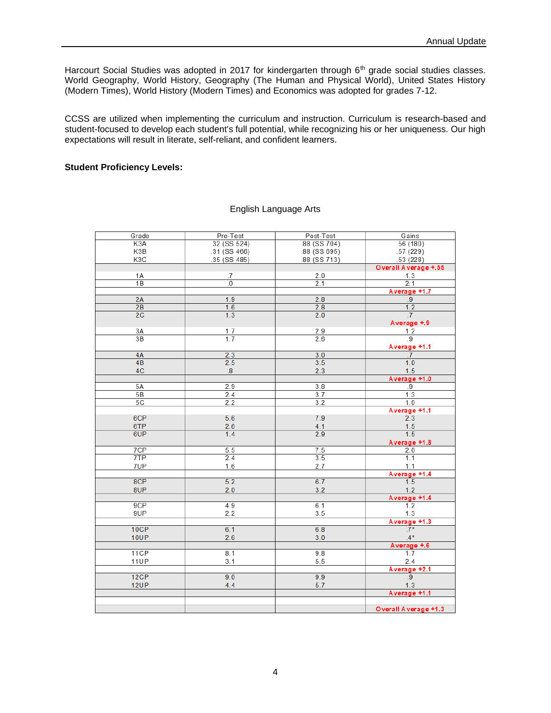Harcourt Social Studies was adopted in 2017 for kindergarten through 6<sup>th</sup> grade social studies classes. World Geography, World History, Geography (The Human and Physical World), United States History (Modern Times), World History (Modern Times) and Economics was adopted for grades 7-12.

CCSS are utilized when implementing the curriculum and instruction. Curriculum is research-based and student-focused to develop each student's full potential, while recognizing his or her uniqueness. Our high expectations will result in literate, self-reliant, and confident learners.

### **Student Proficiency Levels:**

| Grade            | Pre-Test          | Post-Test    | Gains                |
|------------------|-------------------|--------------|----------------------|
| K <sub>3</sub> A | $.32$ (SS 524)    | .88 (SS 704) | .56(180)             |
| K3B              | .31 (SS 466)      | .88 (SS 695) | .57(229)             |
| K3C              | .35 (SS 485)      | .88 (SS 713) | .53(228)             |
|                  |                   |              | Overall Average +.55 |
| 1 A              | .7                | 2.0          | 1.3                  |
| 1B               | $\overline{0}$    | 2.1          | 2.1                  |
|                  |                   |              | Average +1.7         |
| 2A               | 1.9               | 2.8          | .9                   |
| 2B               | 1.6               | 2.8          | 1.2                  |
| 2C               | 1.3               | 2.0          | $\cdot$ 7            |
|                  |                   |              | Average +.9          |
| 3A               |                   | 2.9          | 1.2                  |
| 3B               | $\frac{1.7}{1.7}$ | 2.6          | $\overline{.9}$      |
|                  |                   |              | Average +1.1         |
| 4A               | 2.3               | 3.0          | .7                   |
| 4B               | 2.5               | 3.5          | 1.0                  |
| 4C               | $\boldsymbol{8}$  | 2.3          | 1.5                  |
|                  |                   |              | Average +1.0         |
| 5A               | 2.9               | 3.8          | . 9                  |
| 5B               | 2.4               | 3.7          | 1.3                  |
| 5C               | 2.2               | 3.2          | 1.0                  |
|                  |                   |              |                      |
| 6CP              | 5.6               | 7.9          | Average +1.1<br>2.3  |
|                  |                   |              |                      |
| 6TP<br>6UP       | 2.6               | 4.1          | $\frac{1.5}{1.5}$    |
|                  | 1.4               | 2.9          |                      |
|                  |                   |              | Average +1.8         |
| 7CP              | 5.5               | 7.5          | 2.0                  |
| 7TP              | 2.4               | 3.5          | 1.1                  |
| 7UP              | 1.6               | 2.7          | 1.1                  |
|                  |                   |              | Average +1.4         |
| 8CP              | 5.2               | 6.7          | 1.5                  |
| 8UP              | 2.0               | 3.2          | 1.2                  |
|                  |                   |              | Average +1.4         |
| 9CP              | 4.9               | 6.1          | 1.2                  |
| 9UP              | 2.2               | 3.5          | 1.3                  |
|                  |                   |              | Average +1.3         |
| 10CP             | 6.1               | 6.8          | $.7*$                |
| <b>10UP</b>      | 2.6               | 3.0          | $4*$                 |
|                  |                   |              | Average +.6          |
| 11CP             | 8.1               | 9.8          | 1.7                  |
| <b>11UP</b>      | 3.1               | 5.5          | 2.4                  |
|                  |                   |              | Average +2.1         |
| 12CP             | 9.0               | 9.9          | .9                   |
| <b>12UP</b>      | 4.4               | 5.7          | 1.3                  |
|                  |                   |              | Average +1.1         |
|                  |                   |              |                      |
|                  |                   |              | Overall Average +1.3 |

### English Language Arts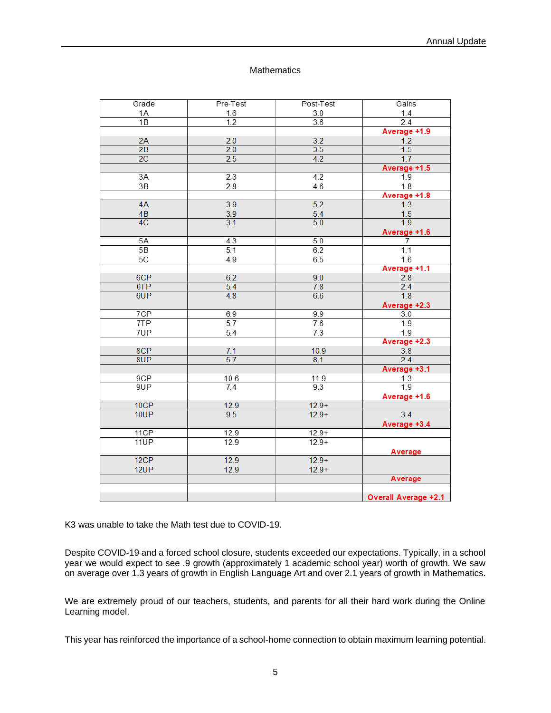### **Mathematics**

| Grade           | Pre-Test         | Post-Test        | Gains                       |
|-----------------|------------------|------------------|-----------------------------|
| 1A              | 1.6              | $3.0\,$          | 1.4                         |
| $\overline{1B}$ | 1.2              | 3.6              | 2.4                         |
|                 |                  |                  | Average +1.9                |
| 2A              | 2.0              | 3.2              | 1.2                         |
| 2B              | 2.0              | 3.5              | 1.5                         |
| 2C              | 2.5              | 4.2              | 1.7                         |
|                 |                  |                  | Average +1.5                |
| 3A              | 2.3              | 4.2              | 1.9                         |
| 3B              | 2.8              | $4.6\,$          | 1.8                         |
|                 |                  |                  | Average +1.8                |
| 4A              | 3.9              | 5.2              | 1.3                         |
| 4B              | 3.9              | 5.4              | $\frac{1.5}{1.9}$           |
| 4C              | 3.1              | $\overline{5.0}$ |                             |
|                 |                  |                  | Average +1.6                |
| 5A              | $\overline{4.3}$ | 5.0              | .7                          |
| 5B              | 5.1              | 6.2              | 1.1                         |
| 5C              | 4.9              | 6.5              | 1.6                         |
|                 |                  |                  | Average +1.1                |
| 6CP             | 6.2              | 9.0              | 2.8                         |
| 6TP             | $\overline{5.4}$ | 7.8              | 2.4                         |
| 6UP             | 4.8              | 6.6              | 1.8                         |
|                 |                  |                  | Average +2.3                |
| 7CP             | 6.9              | 9.9              | 3.0                         |
| 7TP             | 5.7              | 7.6              | 1.9                         |
| 7UP             | 5.4              | 7.3              | 1.9                         |
|                 |                  |                  | Average +2.3                |
| 8CP             | 7.1              | 10.9             | 3.8                         |
| 8UP             | 5.7              | 8.1              | 2.4                         |
|                 |                  |                  | Average +3.1                |
| 9CP             | 10.6             | 11.9             | 1.3                         |
| 9UP             | 7.4              | 9.3              | 1.9                         |
|                 |                  |                  | Average +1.6                |
| 10CP            | 12.9             | $12.9+$          |                             |
| 10UP            | 9.5              | $12.9+$          | 3.4                         |
|                 |                  |                  | Average +3.4                |
| 11CP            | 12.9             | $12.9+$          |                             |
| 11UP            | 12.9             | $12.9+$          |                             |
|                 |                  |                  | Average                     |
| 12CP            | 12.9             | $12.9+$          |                             |
| 12UP            | 12.9             | $12.9+$          |                             |
|                 |                  |                  | Average                     |
|                 |                  |                  |                             |
|                 |                  |                  | <b>Overall Average +2.1</b> |

K3 was unable to take the Math test due to COVID-19.

Despite COVID-19 and a forced school closure, students exceeded our expectations. Typically, in a school year we would expect to see .9 growth (approximately 1 academic school year) worth of growth. We saw on average over 1.3 years of growth in English Language Art and over 2.1 years of growth in Mathematics.

We are extremely proud of our teachers, students, and parents for all their hard work during the Online Learning model.

This year has reinforced the importance of a school-home connection to obtain maximum learning potential.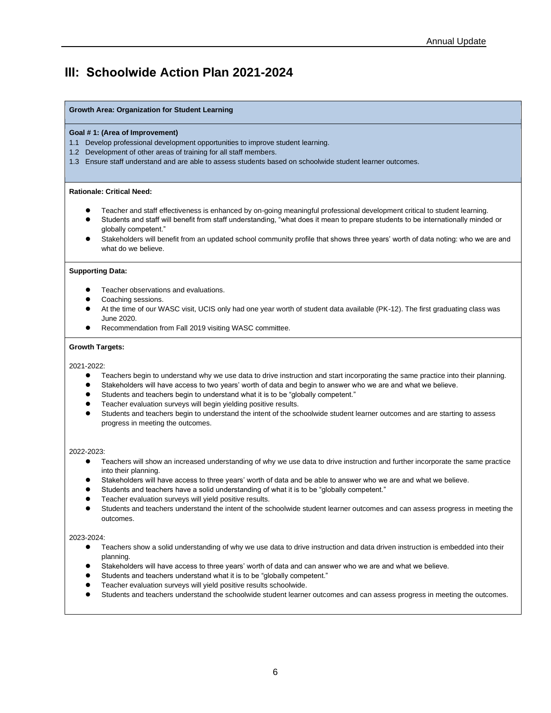## **III: Schoolwide Action Plan 2021-2024**

### **Growth Area: Organization for Student Learning**

### **Goal # 1: (Area of Improvement)**

- 1.1 Develop professional development opportunities to improve student learning.
- 1.2 Development of other areas of training for all staff members.
- 1.3 Ensure staff understand and are able to assess students based on schoolwide student learner outcomes.

### **Rationale: Critical Need:**

- ⚫ Teacher and staff effectiveness is enhanced by on-going meaningful professional development critical to student learning.
- ⚫ Students and staff will benefit from staff understanding, "what does it mean to prepare students to be internationally minded or globally competent."
- Stakeholders will benefit from an updated school community profile that shows three years' worth of data noting: who we are and what do we believe.

### **Supporting Data:**

- ⚫ Teacher observations and evaluations.
- ⚫ Coaching sessions.
- ⚫ At the time of our WASC visit, UCIS only had one year worth of student data available (PK-12). The first graduating class was June 2020.
- ⚫ Recommendation from Fall 2019 visiting WASC committee.

### **Growth Targets:**

### 2021-2022:

- ⚫ Teachers begin to understand why we use data to drive instruction and start incorporating the same practice into their planning.
- Stakeholders will have access to two years' worth of data and begin to answer who we are and what we believe.
- Students and teachers begin to understand what it is to be "globally competent."
- Teacher evaluation surveys will begin yielding positive results.
- ⚫ Students and teachers begin to understand the intent of the schoolwide student learner outcomes and are starting to assess progress in meeting the outcomes.

### 2022-2023:

- ⚫ Teachers will show an increased understanding of why we use data to drive instruction and further incorporate the same practice into their planning.
- Stakeholders will have access to three years' worth of data and be able to answer who we are and what we believe.
- Students and teachers have a solid understanding of what it is to be "globally competent."
- ⚫ Teacher evaluation surveys will yield positive results.
- ⚫ Students and teachers understand the intent of the schoolwide student learner outcomes and can assess progress in meeting the outcomes.

### 2023-2024:

- ⚫ Teachers show a solid understanding of why we use data to drive instruction and data driven instruction is embedded into their planning.
- ⚫ Stakeholders will have access to three years' worth of data and can answer who we are and what we believe.
- ⚫ Students and teachers understand what it is to be "globally competent."
- ⚫ Teacher evaluation surveys will yield positive results schoolwide.
- ⚫ Students and teachers understand the schoolwide student learner outcomes and can assess progress in meeting the outcomes.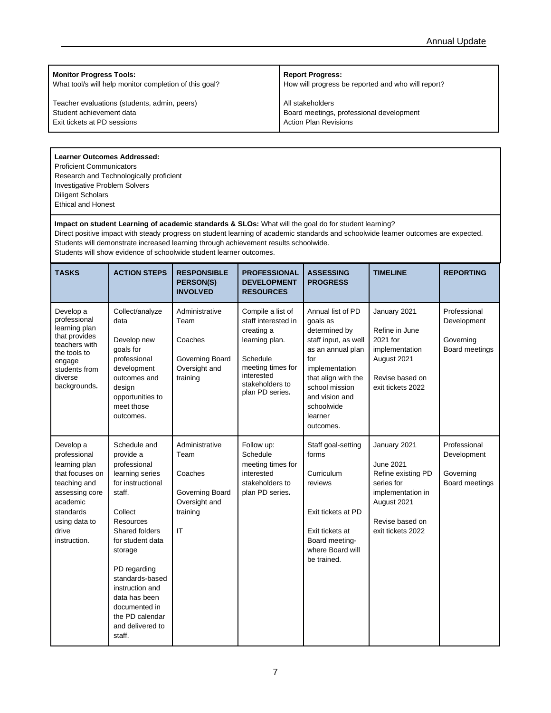**Monitor Progress Tools:**

What tool/s will help monitor completion of this goal?

Teacher evaluations (students, admin, peers) Student achievement data Exit tickets at PD sessions

**Report Progress:**

How will progress be reported and who will report?

All stakeholders Board meetings, professional development Action Plan Revisions

### **Learner Outcomes Addressed:**

Proficient Communicators Research and Technologically proficient Investigative Problem Solvers Diligent Scholars Ethical and Honest

### **Impact on student Learning of academic standards & SLOs:** What will the goal do for student learning?

Direct positive impact with steady progress on student learning of academic standards and schoolwide learner outcomes are expected. Students will demonstrate increased learning through achievement results schoolwide.

Students will show evidence of schoolwide student learner outcomes.

| <b>TASKS</b>                                                                                                                                                       | <b>ACTION STEPS</b>                                                                                                                                                                                                                                                                                           | <b>RESPONSIBLE</b><br>PERSON(S)<br><b>INVOLVED</b>                                      | <b>PROFESSIONAL</b><br><b>DEVELOPMENT</b><br><b>RESOURCES</b>                                                                                                 | <b>ASSESSING</b><br><b>PROGRESS</b>                                                                                                                                                                                   | <b>TIMELINE</b>                                                                                                                                  | <b>REPORTING</b>                                           |
|--------------------------------------------------------------------------------------------------------------------------------------------------------------------|---------------------------------------------------------------------------------------------------------------------------------------------------------------------------------------------------------------------------------------------------------------------------------------------------------------|-----------------------------------------------------------------------------------------|---------------------------------------------------------------------------------------------------------------------------------------------------------------|-----------------------------------------------------------------------------------------------------------------------------------------------------------------------------------------------------------------------|--------------------------------------------------------------------------------------------------------------------------------------------------|------------------------------------------------------------|
| Develop a<br>professional<br>learning plan<br>that provides<br>teachers with<br>the tools to<br>engage<br>students from<br>diverse<br>backgrounds.                 | Collect/analyze<br>data<br>Develop new<br>goals for<br>professional<br>development<br>outcomes and<br>design<br>opportunities to<br>meet those<br>outcomes.                                                                                                                                                   | Administrative<br>Team<br>Coaches<br>Governing Board<br>Oversight and<br>training       | Compile a list of<br>staff interested in<br>creating a<br>learning plan.<br>Schedule<br>meeting times for<br>interested<br>stakeholders to<br>plan PD series. | Annual list of PD<br>goals as<br>determined by<br>staff input, as well<br>as an annual plan<br>for<br>implementation<br>that align with the<br>school mission<br>and vision and<br>schoolwide<br>learner<br>outcomes. | January 2021<br>Refine in June<br>2021 for<br>implementation<br>August 2021<br>Revise based on<br>exit tickets 2022                              | Professional<br>Development<br>Governing<br>Board meetings |
| Develop a<br>professional<br>learning plan<br>that focuses on<br>teaching and<br>assessing core<br>academic<br>standards<br>using data to<br>drive<br>instruction. | Schedule and<br>provide a<br>professional<br>learning series<br>for instructional<br>staff.<br>Collect<br>Resources<br>Shared folders<br>for student data<br>storage<br>PD regarding<br>standards-based<br>instruction and<br>data has been<br>documented in<br>the PD calendar<br>and delivered to<br>staff. | Administrative<br>Team<br>Coaches<br>Governing Board<br>Oversight and<br>training<br>IT | Follow up:<br>Schedule<br>meeting times for<br>interested<br>stakeholders to<br>plan PD series.                                                               | Staff goal-setting<br>forms<br>Curriculum<br>reviews<br>Exit tickets at PD<br>Exit tickets at<br>Board meeting-<br>where Board will<br>be trained.                                                                    | January 2021<br><b>June 2021</b><br>Refine existing PD<br>series for<br>implementation in<br>August 2021<br>Revise based on<br>exit tickets 2022 | Professional<br>Development<br>Governing<br>Board meetings |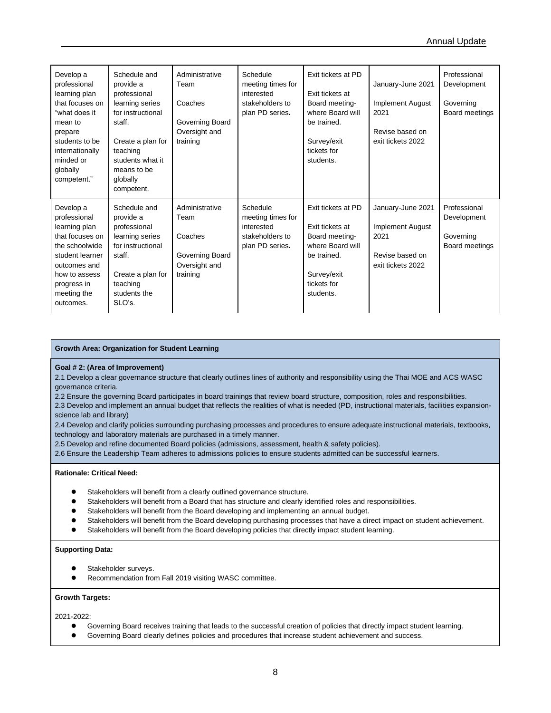| Develop a<br>professional<br>learning plan<br>that focuses on<br>"what does it<br>mean to<br>prepare<br>students to be<br>internationally<br>minded or<br>globally<br>competent." | Schedule and<br>provide a<br>professional<br>learning series<br>for instructional<br>staff.<br>Create a plan for<br>teaching<br>students what it<br>means to be<br>globally<br>competent. | Administrative<br>Team<br>Coaches<br>Governing Board<br>Oversight and<br>training | Schedule<br>meeting times for<br>interested<br>stakeholders to<br>plan PD series. | Exit tickets at PD<br>Exit tickets at<br>Board meeting-<br>where Board will<br>be trained.<br>Survey/exit<br>tickets for<br>students. | January-June 2021<br><b>Implement August</b><br>2021<br>Revise based on<br>exit tickets 2022 | Professional<br>Development<br>Governing<br>Board meetings |
|-----------------------------------------------------------------------------------------------------------------------------------------------------------------------------------|-------------------------------------------------------------------------------------------------------------------------------------------------------------------------------------------|-----------------------------------------------------------------------------------|-----------------------------------------------------------------------------------|---------------------------------------------------------------------------------------------------------------------------------------|----------------------------------------------------------------------------------------------|------------------------------------------------------------|
| Develop a<br>professional<br>learning plan<br>that focuses on<br>the schoolwide<br>student learner<br>outcomes and<br>how to assess<br>progress in<br>meeting the<br>outcomes.    | Schedule and<br>provide a<br>professional<br>learning series<br>for instructional<br>staff.<br>Create a plan for<br>teaching<br>students the<br>SLO's.                                    | Administrative<br>Team<br>Coaches<br>Governing Board<br>Oversight and<br>training | Schedule<br>meeting times for<br>interested<br>stakeholders to<br>plan PD series. | Exit tickets at PD<br>Exit tickets at<br>Board meeting-<br>where Board will<br>be trained.<br>Survey/exit<br>tickets for<br>students. | January-June 2021<br><b>Implement August</b><br>2021<br>Revise based on<br>exit tickets 2022 | Professional<br>Development<br>Governing<br>Board meetings |

### **Growth Area: Organization for Student Learning**

### **Goal # 2: (Area of Improvement)**

2.1 Develop a clear governance structure that clearly outlines lines of authority and responsibility using the Thai MOE and ACS WASC governance criteria.

2.2 Ensure the governing Board participates in board trainings that review board structure, composition, roles and responsibilities.

2.3 Develop and implement an annual budget that reflects the realities of what is needed (PD, instructional materials, facilities expansionscience lab and library)

2.4 Develop and clarify policies surrounding purchasing processes and procedures to ensure adequate instructional materials, textbooks, technology and laboratory materials are purchased in a timely manner.

2.5 Develop and refine documented Board policies (admissions, assessment, health & safety policies).

2.6 Ensure the Leadership Team adheres to admissions policies to ensure students admitted can be successful learners.

### **Rationale: Critical Need:**

- Stakeholders will benefit from a clearly outlined governance structure.
- ⚫ Stakeholders will benefit from a Board that has structure and clearly identified roles and responsibilities.
- Stakeholders will benefit from the Board developing and implementing an annual budget.
- Stakeholders will benefit from the Board developing purchasing processes that have a direct impact on student achievement.
- Stakeholders will benefit from the Board developing policies that directly impact student learning.

### **Supporting Data:**

- Stakeholder surveys.
- ⚫ Recommendation from Fall 2019 visiting WASC committee.

### **Growth Targets:**

2021-2022:

- ⚫ Governing Board receives training that leads to the successful creation of policies that directly impact student learning.
- ⚫ Governing Board clearly defines policies and procedures that increase student achievement and success.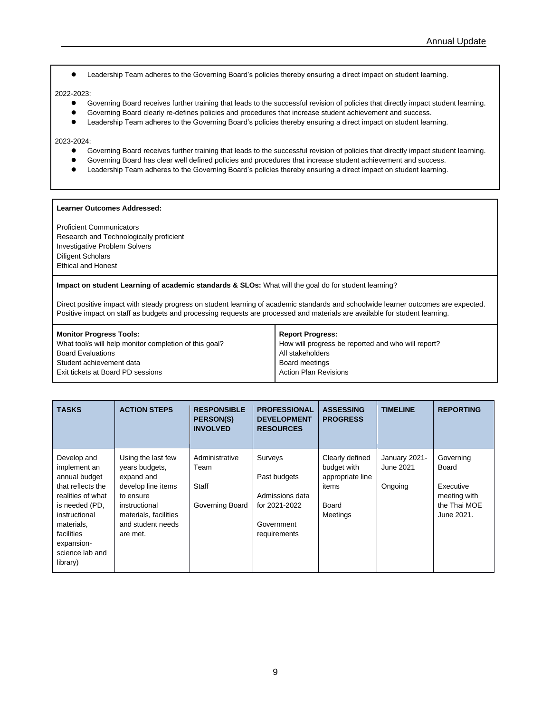⚫ Leadership Team adheres to the Governing Board's policies thereby ensuring a direct impact on student learning.

### 2022-2023:

- ⚫ Governing Board receives further training that leads to the successful revision of policies that directly impact student learning.
- ⚫ Governing Board clearly re-defines policies and procedures that increase student achievement and success.
- ⚫ Leadership Team adheres to the Governing Board's policies thereby ensuring a direct impact on student learning.

### 2023-2024:

- ⚫ Governing Board receives further training that leads to the successful revision of policies that directly impact student learning.
- ⚫ Governing Board has clear well defined policies and procedures that increase student achievement and success.
- ⚫ Leadership Team adheres to the Governing Board's policies thereby ensuring a direct impact on student learning.

### **Learner Outcomes Addressed:**

Proficient Communicators Research and Technologically proficient Investigative Problem Solvers Diligent Scholars Ethical and Honest

**Impact on student Learning of academic standards & SLOs:** What will the goal do for student learning?

Direct positive impact with steady progress on student learning of academic standards and schoolwide learner outcomes are expected. Positive impact on staff as budgets and processing requests are processed and materials are available for student learning.

| <b>Monitor Progress Tools:</b>                         | <b>Report Progress:</b>                            |
|--------------------------------------------------------|----------------------------------------------------|
| What tool/s will help monitor completion of this goal? | How will progress be reported and who will report? |
| <b>Board Evaluations</b>                               | All stakeholders                                   |
| Student achievement data                               | Board meetings                                     |
| Exit tickets at Board PD sessions                      | <b>Action Plan Revisions</b>                       |
|                                                        |                                                    |

| <b>TASKS</b>                                                                                                                                          | <b>ACTION STEPS</b>                                                                                                                                              | <b>RESPONSIBLE</b><br><b>PERSON(S)</b><br><b>INVOLVED</b> | <b>PROFESSIONAL</b><br><b>DEVELOPMENT</b><br><b>RESOURCES</b>                             | <b>ASSESSING</b><br><b>PROGRESS</b>                                              | <b>TIMELINE</b>                       | <b>REPORTING</b>                                                              |
|-------------------------------------------------------------------------------------------------------------------------------------------------------|------------------------------------------------------------------------------------------------------------------------------------------------------------------|-----------------------------------------------------------|-------------------------------------------------------------------------------------------|----------------------------------------------------------------------------------|---------------------------------------|-------------------------------------------------------------------------------|
| Develop and<br>implement an<br>annual budget<br>that reflects the<br>realities of what<br>is needed (PD,<br>instructional<br>materials,<br>facilities | Using the last few<br>years budgets,<br>expand and<br>develop line items<br>to ensure<br>instructional<br>materials, facilities<br>and student needs<br>are met. | Administrative<br>Team<br>Staff<br>Governing Board        | Surveys<br>Past budgets<br>Admissions data<br>for 2021-2022<br>Government<br>requirements | Clearly defined<br>budget with<br>appropriate line<br>items<br>Board<br>Meetings | January 2021-<br>June 2021<br>Ongoing | Governing<br>Board<br>Executive<br>meeting with<br>the Thai MOE<br>June 2021. |
| expansion-<br>science lab and<br>library)                                                                                                             |                                                                                                                                                                  |                                                           |                                                                                           |                                                                                  |                                       |                                                                               |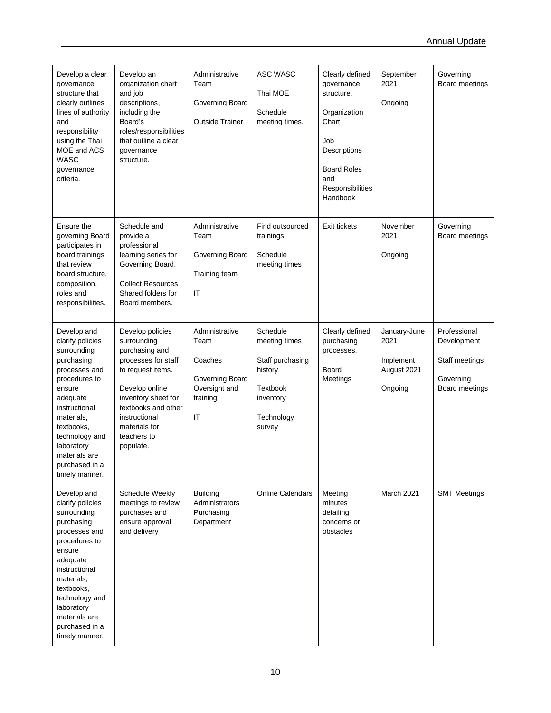| Develop a clear<br>governance<br>structure that<br>clearly outlines<br>lines of authority<br>and<br>responsibility<br>using the Thai<br>MOE and ACS<br><b>WASC</b><br>governance<br>criteria.                                                          | Develop an<br>organization chart<br>and job<br>descriptions,<br>including the<br>Board's<br>roles/responsibilities<br>that outline a clear<br>governance<br>structure.                                                      | Administrative<br>Team<br>Governing Board<br><b>Outside Trainer</b>                                         | ASC WASC<br>Thai MOE<br>Schedule<br>meeting times.                                                        | Clearly defined<br>governance<br>structure.<br>Organization<br>Chart<br>Job<br>Descriptions<br><b>Board Roles</b><br>and<br>Responsibilities<br>Handbook | September<br>2021<br>Ongoing                                | Governing<br>Board meetings                                                  |
|--------------------------------------------------------------------------------------------------------------------------------------------------------------------------------------------------------------------------------------------------------|-----------------------------------------------------------------------------------------------------------------------------------------------------------------------------------------------------------------------------|-------------------------------------------------------------------------------------------------------------|-----------------------------------------------------------------------------------------------------------|----------------------------------------------------------------------------------------------------------------------------------------------------------|-------------------------------------------------------------|------------------------------------------------------------------------------|
| Ensure the<br>governing Board<br>participates in<br>board trainings<br>that review<br>board structure,<br>composition,<br>roles and<br>responsibilities.                                                                                               | Schedule and<br>provide a<br>professional<br>learning series for<br>Governing Board.<br><b>Collect Resources</b><br>Shared folders for<br>Board members.                                                                    | Administrative<br>Team<br>Governing Board<br>Training team<br>$\mathsf{I}\mathsf{T}$                        | Find outsourced<br>trainings.<br>Schedule<br>meeting times                                                | Exit tickets                                                                                                                                             | November<br>2021<br>Ongoing                                 | Governing<br>Board meetings                                                  |
| Develop and<br>clarify policies<br>surrounding<br>purchasing<br>processes and<br>procedures to<br>ensure<br>adequate<br>instructional<br>materials,<br>textbooks,<br>technology and<br>laboratory<br>materials are<br>purchased in a<br>timely manner. | Develop policies<br>surrounding<br>purchasing and<br>processes for staff<br>to request items.<br>Develop online<br>inventory sheet for<br>textbooks and other<br>instructional<br>materials for<br>teachers to<br>populate. | Administrative<br>Team<br>Coaches<br>Governing Board<br>Oversight and<br>training<br>$\mathsf{I}\mathsf{T}$ | Schedule<br>meeting times<br>Staff purchasing<br>history<br>Textbook<br>inventory<br>Technology<br>survey | Clearly defined<br>purchasing<br>processes.<br>Board<br>Meetings                                                                                         | January-June<br>2021<br>Implement<br>August 2021<br>Ongoing | Professional<br>Development<br>Staff meetings<br>Governing<br>Board meetings |
| Develop and<br>clarify policies<br>surrounding<br>purchasing<br>processes and<br>procedures to<br>ensure<br>adequate<br>instructional<br>materials.<br>textbooks,<br>technology and<br>laboratory<br>materials are<br>purchased in a<br>timely manner. | Schedule Weekly<br>meetings to review<br>purchases and<br>ensure approval<br>and delivery                                                                                                                                   | <b>Building</b><br>Administrators<br>Purchasing<br>Department                                               | Online Calendars                                                                                          | Meeting<br>minutes<br>detailing<br>concerns or<br>obstacles                                                                                              | March 2021                                                  | <b>SMT Meetings</b>                                                          |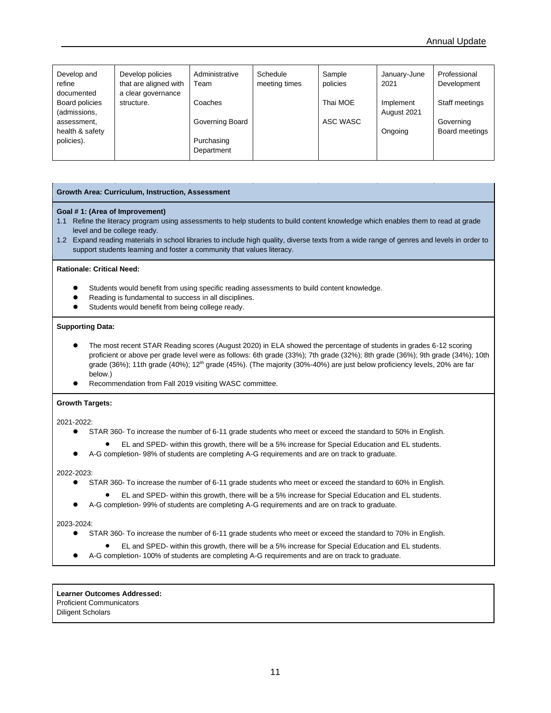| Develop and<br>refine<br>documented | Develop policies<br>that are aligned with<br>a clear governance | Administrative<br>Team   | Schedule<br>meeting times | Sample<br>policies | January-June<br>2021     | Professional<br>Development |
|-------------------------------------|-----------------------------------------------------------------|--------------------------|---------------------------|--------------------|--------------------------|-----------------------------|
| Board policies<br>(admissions,      | structure.                                                      | Coaches                  |                           | Thai MOE           | Implement<br>August 2021 | Staff meetings              |
| assessment,<br>health & safety      |                                                                 | Governing Board          |                           | ASC WASC           | Ongoing                  | Governing<br>Board meetings |
| policies).                          |                                                                 | Purchasing<br>Department |                           |                    |                          |                             |

### **Growth Area: Curriculum, Instruction, Assessment**

### **Goal # 1: (Area of Improvement)**

- 1.1 Refine the literacy program using assessments to help students to build content knowledge which enables them to read at grade level and be college ready.
- 1.2 Expand reading materials in school libraries to include high quality, diverse texts from a wide range of genres and levels in order to support students learning and foster a community that values literacy.

### **Rationale: Critical Need:**

- ⚫ Students would benefit from using specific reading assessments to build content knowledge.
- ⚫ Reading is fundamental to success in all disciplines.
- Students would benefit from being college ready.

### **Supporting Data:**

- ⚫ The most recent STAR Reading scores (August 2020) in ELA showed the percentage of students in grades 6-12 scoring proficient or above per grade level were as follows: 6th grade (33%); 7th grade (32%); 8th grade (36%); 9th grade (34%); 10th grade (36%); 11th grade (40%); 12th grade (45%). (The majority (30%-40%) are just below proficiency levels, 20% are far below.)
- ⚫ Recommendation from Fall 2019 visiting WASC committee.

### **Growth Targets:**

2021-2022:

- STAR 360- To increase the number of 6-11 grade students who meet or exceed the standard to 50% in English.
- EL and SPED- within this growth, there will be a 5% increase for Special Education and EL students.
- A-G completion- 98% of students are completing A-G requirements and are on track to graduate.

### 2022-2023:

- STAR 360- To increase the number of 6-11 grade students who meet or exceed the standard to 60% in English.
	- EL and SPED- within this growth, there will be a 5% increase for Special Education and EL students.
- A-G completion-99% of students are completing A-G requirements and are on track to graduate.

### 2023-2024:

- STAR 360- To increase the number of 6-11 grade students who meet or exceed the standard to 70% in English.
	- EL and SPED- within this growth, there will be a 5% increase for Special Education and EL students.
- ⚫ A-G completion- 100% of students are completing A-G requirements and are on track to graduate.

**Learner Outcomes Addressed:** Proficient Communicators Diligent Scholars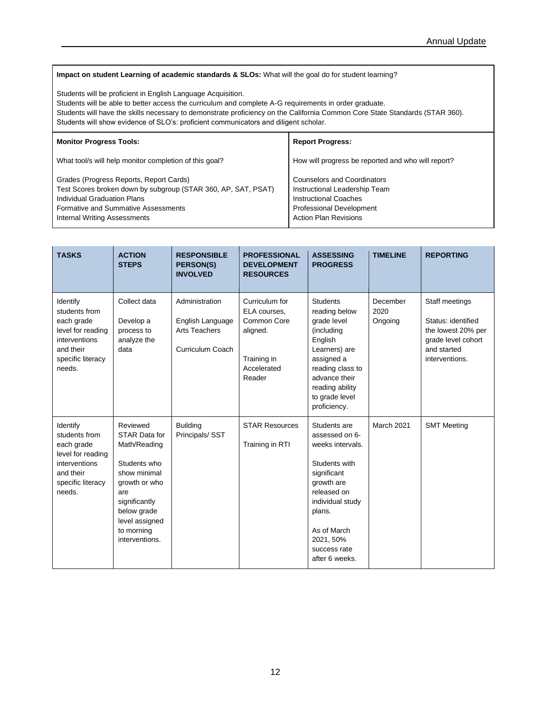### **Impact on student Learning of academic standards & SLOs:** What will the goal do for student learning?

Students will be proficient in English Language Acquisition.

Students will be able to better access the curriculum and complete A-G requirements in order graduate.

Students will have the skills necessary to demonstrate proficiency on the California Common Core State Standards (STAR 360). Students will show evidence of SLO's: proficient communicators and diligent scholar.

| <b>Monitor Progress Tools:</b>                                                                                                                                                                                               | <b>Report Progress:</b>                                                                                                                                                |
|------------------------------------------------------------------------------------------------------------------------------------------------------------------------------------------------------------------------------|------------------------------------------------------------------------------------------------------------------------------------------------------------------------|
| What tool/s will help monitor completion of this goal?                                                                                                                                                                       | How will progress be reported and who will report?                                                                                                                     |
| Grades (Progress Reports, Report Cards)<br>Test Scores broken down by subgroup (STAR 360, AP, SAT, PSAT)<br>Individual Graduation Plans<br><b>Formative and Summative Assessments</b><br><b>Internal Writing Assessments</b> | <b>Counselors and Coordinators</b><br>Instructional Leadership Team<br><b>Instructional Coaches</b><br><b>Professional Development</b><br><b>Action Plan Revisions</b> |

| <b>TASKS</b>                                                                                                              | <b>ACTION</b><br><b>STEPS</b>                                                                                                                                                       | <b>RESPONSIBLE</b><br><b>PERSON(S)</b><br><b>INVOLVED</b>                      | <b>PROFESSIONAL</b><br><b>DEVELOPMENT</b><br><b>RESOURCES</b>                                     | <b>ASSESSING</b><br><b>PROGRESS</b>                                                                                                                                                                         | <b>TIMELINE</b>             | <b>REPORTING</b>                                                                                                  |
|---------------------------------------------------------------------------------------------------------------------------|-------------------------------------------------------------------------------------------------------------------------------------------------------------------------------------|--------------------------------------------------------------------------------|---------------------------------------------------------------------------------------------------|-------------------------------------------------------------------------------------------------------------------------------------------------------------------------------------------------------------|-----------------------------|-------------------------------------------------------------------------------------------------------------------|
| Identify<br>students from<br>each grade<br>level for reading<br>interventions<br>and their<br>specific literacy<br>needs. | Collect data<br>Develop a<br>process to<br>analyze the<br>data                                                                                                                      | Administration<br>English Language<br><b>Arts Teachers</b><br>Curriculum Coach | Curriculum for<br>ELA courses,<br>Common Core<br>aligned.<br>Training in<br>Accelerated<br>Reader | <b>Students</b><br>reading below<br>grade level<br>(including<br>English<br>Learners) are<br>assigned a<br>reading class to<br>advance their<br>reading ability<br>to grade level<br>proficiency.           | December<br>2020<br>Ongoing | Staff meetings<br>Status: identified<br>the lowest 20% per<br>grade level cohort<br>and started<br>interventions. |
| Identify<br>students from<br>each grade<br>level for reading<br>interventions<br>and their<br>specific literacy<br>needs. | Reviewed<br>STAR Data for<br>Math/Reading<br>Students who<br>show minimal<br>growth or who<br>are<br>significantly<br>below grade<br>level assigned<br>to morning<br>interventions. | <b>Building</b><br>Principals/SST                                              | <b>STAR Resources</b><br>Training in RTI                                                          | Students are<br>assessed on 6-<br>weeks intervals.<br>Students with<br>significant<br>growth are<br>released on<br>individual study<br>plans.<br>As of March<br>2021, 50%<br>success rate<br>after 6 weeks. | <b>March 2021</b>           | <b>SMT Meeting</b>                                                                                                |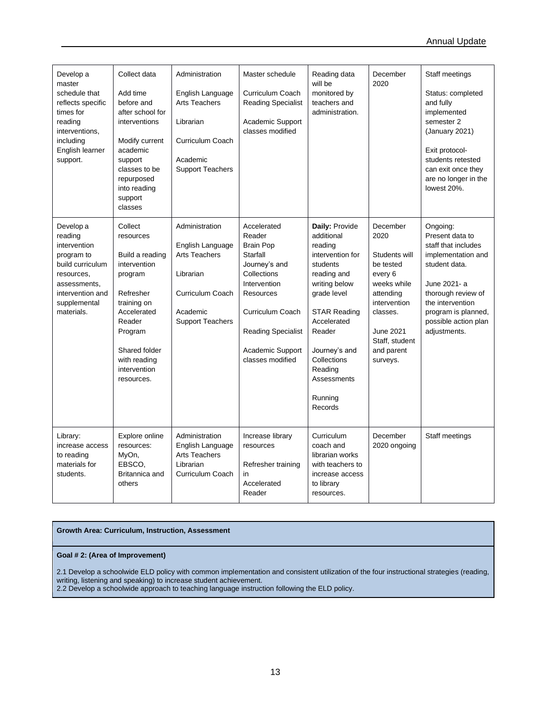| Develop a<br>master<br>schedule that<br>reflects specific<br>times for<br>reading<br>interventions,<br>including<br>English learner<br>support.        | Collect data<br>Add time<br>before and<br>after school for<br>interventions<br>Modify current<br>academic<br>support<br>classes to be<br>repurposed<br>into reading<br>support<br>classes         | Administration<br>English Language<br><b>Arts Teachers</b><br>Librarian<br>Curriculum Coach<br>Academic<br><b>Support Teachers</b> | Master schedule<br>Curriculum Coach<br><b>Reading Specialist</b><br>Academic Support<br>classes modified                                                                                                    | Reading data<br>will be<br>monitored by<br>teachers and<br>administration.                                                                                                                                                                             | December<br>2020                                                                                                                                                           | Staff meetings<br>Status: completed<br>and fully<br>implemented<br>semester 2<br>(January 2021)<br>Exit protocol-<br>students retested<br>can exit once they<br>are no longer in the<br>lowest 20%.                |
|--------------------------------------------------------------------------------------------------------------------------------------------------------|---------------------------------------------------------------------------------------------------------------------------------------------------------------------------------------------------|------------------------------------------------------------------------------------------------------------------------------------|-------------------------------------------------------------------------------------------------------------------------------------------------------------------------------------------------------------|--------------------------------------------------------------------------------------------------------------------------------------------------------------------------------------------------------------------------------------------------------|----------------------------------------------------------------------------------------------------------------------------------------------------------------------------|--------------------------------------------------------------------------------------------------------------------------------------------------------------------------------------------------------------------|
| Develop a<br>reading<br>intervention<br>program to<br>build curriculum<br>resources,<br>assessments,<br>intervention and<br>supplemental<br>materials. | Collect<br>resources<br>Build a reading<br>intervention<br>program<br>Refresher<br>training on<br>Accelerated<br>Reader<br>Program<br>Shared folder<br>with reading<br>intervention<br>resources. | Administration<br>English Language<br><b>Arts Teachers</b><br>Librarian<br>Curriculum Coach<br>Academic<br><b>Support Teachers</b> | Accelerated<br>Reader<br><b>Brain Pop</b><br>Starfall<br>Journey's and<br>Collections<br>Intervention<br>Resources<br>Curriculum Coach<br><b>Reading Specialist</b><br>Academic Support<br>classes modified | Daily: Provide<br>additional<br>reading<br>intervention for<br>students<br>reading and<br>writing below<br>grade level<br><b>STAR Reading</b><br>Accelerated<br>Reader<br>Journey's and<br>Collections<br>Reading<br>Assessments<br>Running<br>Records | December<br>2020<br>Students will<br>be tested<br>every 6<br>weeks while<br>attending<br>intervention<br>classes.<br>June 2021<br>Staff, student<br>and parent<br>surveys. | Ongoing:<br>Present data to<br>staff that includes<br>implementation and<br>student data.<br>June 2021- a<br>thorough review of<br>the intervention<br>program is planned,<br>possible action plan<br>adjustments. |
| Library:<br>increase access<br>to reading<br>materials for<br>students.                                                                                | Explore online<br>resources:<br>MyOn,<br>EBSCO.<br>Britannica and<br>others                                                                                                                       | Administration<br>English Language<br><b>Arts Teachers</b><br>Librarian<br>Curriculum Coach                                        | Increase library<br>resources<br>Refresher training<br>in<br>Accelerated<br>Reader                                                                                                                          | Curriculum<br>coach and<br>librarian works<br>with teachers to<br>increase access<br>to library<br>resources.                                                                                                                                          | December<br>2020 ongoing                                                                                                                                                   | Staff meetings                                                                                                                                                                                                     |

### **Growth Area: Curriculum, Instruction, Assessment**

### **Goal # 2: (Area of Improvement)**

2.1 Develop a schoolwide ELD policy with common implementation and consistent utilization of the four instructional strategies (reading, writing, listening and speaking) to increase student achievement. 2.2 Develop a schoolwide approach to teaching language instruction following the ELD policy.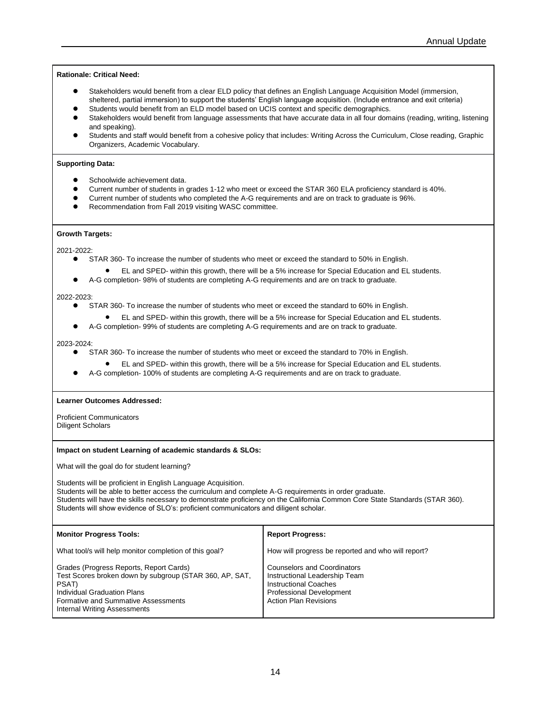**Rationale: Critical Need:** 

- ⚫ Stakeholders would benefit from a clear ELD policy that defines an English Language Acquisition Model (immersion, sheltered, partial immersion) to support the students' English language acquisition. (Include entrance and exit criteria)
- ⚫ Students would benefit from an ELD model based on UCIS context and specific demographics.
- Stakeholders would benefit from language assessments that have accurate data in all four domains (reading, writing, listening and speaking).
- ⚫ Students and staff would benefit from a cohesive policy that includes: Writing Across the Curriculum, Close reading, Graphic Organizers, Academic Vocabulary.

### **Supporting Data:**

- Schoolwide achievement data.
- ⚫ Current number of students in grades 1-12 who meet or exceed the STAR 360 ELA proficiency standard is 40%.
- ⚫ Current number of students who completed the A-G requirements and are on track to graduate is 96%.
- Recommendation from Fall 2019 visiting WASC committee.

### **Growth Targets:**

2021-2022:

- ⚫ STAR 360- To increase the number of students who meet or exceed the standard to 50% in English.
	- EL and SPED- within this growth, there will be a 5% increase for Special Education and EL students.
- A-G completion- 98% of students are completing A-G requirements and are on track to graduate.

### 2022-2023:

- STAR 360- To increase the number of students who meet or exceed the standard to 60% in English.
	- EL and SPED- within this growth, there will be a 5% increase for Special Education and EL students.
- A-G completion- 99% of students are completing A-G requirements and are on track to graduate.

### 2023-2024:

- ⚫ STAR 360- To increase the number of students who meet or exceed the standard to 70% in English.
	- EL and SPED- within this growth, there will be a 5% increase for Special Education and EL students.
- ⚫ A-G completion- 100% of students are completing A-G requirements and are on track to graduate.

### **Learner Outcomes Addressed:**

Proficient Communicators Diligent Scholars

### **Impact on student Learning of academic standards & SLOs:**

What will the goal do for student learning?

Students will be proficient in English Language Acquisition. Students will be able to better access the curriculum and complete A-G requirements in order graduate. Students will have the skills necessary to demonstrate proficiency on the California Common Core State Standards (STAR 360). Students will show evidence of SLO's: proficient communicators and diligent scholar.

| <b>Monitor Progress Tools:</b>                                                                                                                                                                                           | <b>Report Progress:</b>                                                                                                                                                |
|--------------------------------------------------------------------------------------------------------------------------------------------------------------------------------------------------------------------------|------------------------------------------------------------------------------------------------------------------------------------------------------------------------|
| What tool/s will help monitor completion of this goal?                                                                                                                                                                   | How will progress be reported and who will report?                                                                                                                     |
| Grades (Progress Reports, Report Cards)<br>Test Scores broken down by subgroup (STAR 360, AP, SAT,<br>PSAT)<br>Individual Graduation Plans<br><b>Formative and Summative Assessments</b><br>Internal Writing Assessments | <b>Counselors and Coordinators</b><br>Instructional Leadership Team<br><b>Instructional Coaches</b><br><b>Professional Development</b><br><b>Action Plan Revisions</b> |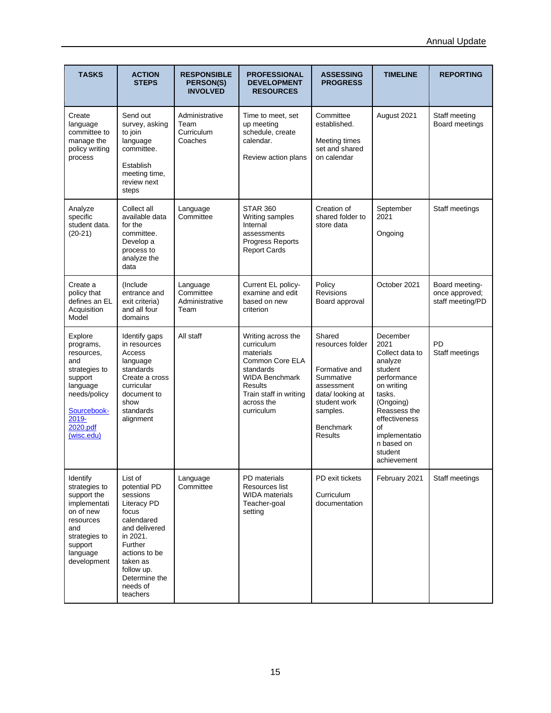| <b>TASKS</b>                                                                                                                                        | <b>ACTION</b><br><b>STEPS</b>                                                                                                                                                                         | <b>RESPONSIBLE</b><br>PERSON(S)<br><b>INVOLVED</b> | <b>PROFESSIONAL</b><br><b>DEVELOPMENT</b><br><b>RESOURCES</b>                                                                                                           | <b>ASSESSING</b><br><b>PROGRESS</b>                                                                                                                         | <b>TIMELINE</b>                                                                                                                                                                                               | <b>REPORTING</b>                                     |
|-----------------------------------------------------------------------------------------------------------------------------------------------------|-------------------------------------------------------------------------------------------------------------------------------------------------------------------------------------------------------|----------------------------------------------------|-------------------------------------------------------------------------------------------------------------------------------------------------------------------------|-------------------------------------------------------------------------------------------------------------------------------------------------------------|---------------------------------------------------------------------------------------------------------------------------------------------------------------------------------------------------------------|------------------------------------------------------|
| Create<br>language<br>committee to<br>manage the<br>policy writing<br>process                                                                       | Send out<br>survey, asking<br>to join<br>language<br>committee.<br>Establish<br>meeting time,<br>review next<br>steps                                                                                 | Administrative<br>Team<br>Curriculum<br>Coaches    | Time to meet, set<br>up meeting<br>schedule, create<br>calendar.<br>Review action plans                                                                                 | Committee<br>established.<br>Meeting times<br>set and shared<br>on calendar                                                                                 | August 2021                                                                                                                                                                                                   | Staff meeting<br>Board meetings                      |
| Analyze<br>specific<br>student data.<br>$(20-21)$                                                                                                   | Collect all<br>available data<br>for the<br>committee.<br>Develop a<br>process to<br>analyze the<br>data                                                                                              | Language<br>Committee                              | <b>STAR 360</b><br>Writing samples<br>Internal<br>assessments<br>Progress Reports<br><b>Report Cards</b>                                                                | Creation of<br>shared folder to<br>store data                                                                                                               | September<br>2021<br>Ongoing                                                                                                                                                                                  | Staff meetings                                       |
| Create a<br>policy that<br>defines an EL<br>Acquisition<br>Model                                                                                    | (Include)<br>entrance and<br>exit criteria)<br>and all four<br>domains                                                                                                                                | Language<br>Committee<br>Administrative<br>Team    | Current EL policy-<br>examine and edit<br>based on new<br>criterion                                                                                                     | Policy<br><b>Revisions</b><br>Board approval                                                                                                                | October 2021                                                                                                                                                                                                  | Board meeting-<br>once approved;<br>staff meeting/PD |
| Explore<br>programs,<br>resources,<br>and<br>strategies to<br>support<br>language<br>needs/policy<br>Sourcebook-<br>2019-<br>2020.pdf<br>(wisc.edu) | Identify gaps<br>in resources<br>Access<br>language<br>standards<br>Create a cross<br>curricular<br>document to<br>show<br>standards<br>alignment                                                     | All staff                                          | Writing across the<br>curriculum<br>materials<br>Common Core ELA<br>standards<br><b>WIDA Benchmark</b><br>Results<br>Train staff in writing<br>across the<br>curriculum | Shared<br>resources folder<br>Formative and<br>Summative<br>assessment<br>data/looking at<br>student work<br>samples.<br><b>Benchmark</b><br><b>Results</b> | December<br>2021<br>Collect data to<br>analyze<br>student<br>performance<br>on writing<br>tasks.<br>(Ongoing)<br>Reassess the<br>effectiveness<br>of<br>implementatio<br>n based on<br>student<br>achievement | PD<br>Staff meetings                                 |
| Identify<br>strategies to<br>support the<br>implementati<br>on of new<br>resources<br>and<br>strategies to<br>support<br>language<br>development    | List of<br>potential PD<br>sessions<br>Literacy PD<br>focus<br>calendared<br>and delivered<br>in 2021.<br>Further<br>actions to be<br>taken as<br>follow up.<br>Determine the<br>needs of<br>teachers | Language<br>Committee                              | PD materials<br>Resources list<br><b>WIDA</b> materials<br>Teacher-goal<br>setting                                                                                      | PD exit tickets<br>Curriculum<br>documentation                                                                                                              | February 2021                                                                                                                                                                                                 | Staff meetings                                       |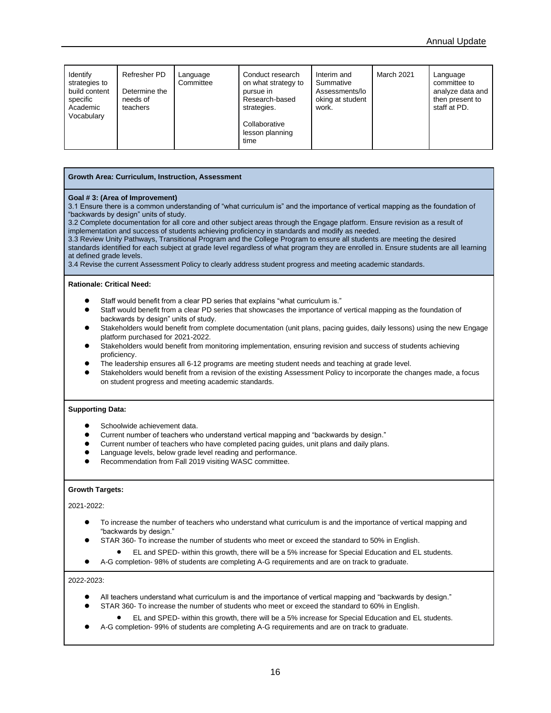| Identify<br>strategies to<br>build content<br>specific<br>Academic<br>Vocabulary | Refresher PD<br>Determine the<br>needs of<br>teachers | Language<br>Committee | Conduct research<br>on what strategy to<br>pursue in<br>Research-based<br>strategies.<br>Collaborative<br>lesson planning<br>time | Interim and<br>Summative<br>Assessments/lo<br>oking at student<br>work. | <b>March 2021</b> | Language<br>committee to<br>analyze data and<br>then present to<br>staff at PD. |
|----------------------------------------------------------------------------------|-------------------------------------------------------|-----------------------|-----------------------------------------------------------------------------------------------------------------------------------|-------------------------------------------------------------------------|-------------------|---------------------------------------------------------------------------------|
|----------------------------------------------------------------------------------|-------------------------------------------------------|-----------------------|-----------------------------------------------------------------------------------------------------------------------------------|-------------------------------------------------------------------------|-------------------|---------------------------------------------------------------------------------|

### **Growth Area: Curriculum, Instruction, Assessment**

### **Goal # 3: (Area of Improvement)**

3.1 Ensure there is a common understanding of "what curriculum is" and the importance of vertical mapping as the foundation of "backwards by design" units of study.

3.2 Complete documentation for all core and other subject areas through the Engage platform. Ensure revision as a result of implementation and success of students achieving proficiency in standards and modify as needed.

3.3 Review Unity Pathways, Transitional Program and the College Program to ensure all students are meeting the desired standards identified for each subject at grade level regardless of what program they are enrolled in. Ensure students are all learning at defined grade levels.

3.4 Revise the current Assessment Policy to clearly address student progress and meeting academic standards.

### **Rationale: Critical Need:**

- Staff would benefit from a clear PD series that explains "what curriculum is."
- Staff would benefit from a clear PD series that showcases the importance of vertical mapping as the foundation of backwards by design" units of study.
- Stakeholders would benefit from complete documentation (unit plans, pacing guides, daily lessons) using the new Engage platform purchased for 2021-2022.
- ⚫ Stakeholders would benefit from monitoring implementation, ensuring revision and success of students achieving proficiency.
- ⚫ The leadership ensures all 6-12 programs are meeting student needs and teaching at grade level.
- ⚫ Stakeholders would benefit from a revision of the existing Assessment Policy to incorporate the changes made, a focus on student progress and meeting academic standards.

### **Supporting Data:**

- Schoolwide achievement data.
- ⚫ Current number of teachers who understand vertical mapping and "backwards by design."
- ⚫ Current number of teachers who have completed pacing guides, unit plans and daily plans.
- Language levels, below grade level reading and performance.
- ⚫ Recommendation from Fall 2019 visiting WASC committee.

### **Growth Targets:**

### 2021-2022:

- ⚫ To increase the number of teachers who understand what curriculum is and the importance of vertical mapping and "backwards by design."
- STAR 360- To increase the number of students who meet or exceed the standard to 50% in English.
	- EL and SPED- within this growth, there will be a 5% increase for Special Education and EL students.
- A-G completion- 98% of students are completing A-G requirements and are on track to graduate.

### 2022-2023:

- ⚫ All teachers understand what curriculum is and the importance of vertical mapping and "backwards by design."
- STAR 360- To increase the number of students who meet or exceed the standard to 60% in English.
	- EL and SPED- within this growth, there will be a 5% increase for Special Education and EL students.
- A-G completion- 99% of students are completing A-G requirements and are on track to graduate.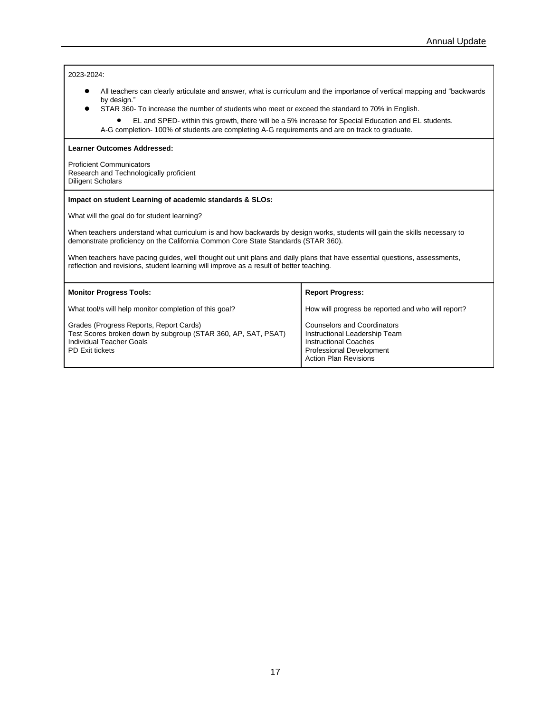2023-2024:

- ⚫ All teachers can clearly articulate and answer, what is curriculum and the importance of vertical mapping and "backwards by design."
- STAR 360- To increase the number of students who meet or exceed the standard to 70% in English.
	- EL and SPED- within this growth, there will be a 5% increase for Special Education and EL students. A-G completion- 100% of students are completing A-G requirements and are on track to graduate.

**Learner Outcomes Addressed:**

Proficient Communicators Research and Technologically proficient Diligent Scholars

### **Impact on student Learning of academic standards & SLOs:**

What will the goal do for student learning?

When teachers understand what curriculum is and how backwards by design works, students will gain the skills necessary to demonstrate proficiency on the California Common Core State Standards (STAR 360).

When teachers have pacing guides, well thought out unit plans and daily plans that have essential questions, assessments, reflection and revisions, student learning will improve as a result of better teaching.

| <b>Monitor Progress Tools:</b>                                                                                                                                 | <b>Report Progress:</b>                                                                                                                                                |
|----------------------------------------------------------------------------------------------------------------------------------------------------------------|------------------------------------------------------------------------------------------------------------------------------------------------------------------------|
| What tool/s will help monitor completion of this goal?                                                                                                         | How will progress be reported and who will report?                                                                                                                     |
| Grades (Progress Reports, Report Cards)<br>Test Scores broken down by subgroup (STAR 360, AP, SAT, PSAT)<br>Individual Teacher Goals<br><b>PD Exit tickets</b> | <b>Counselors and Coordinators</b><br>Instructional Leadership Team<br><b>Instructional Coaches</b><br><b>Professional Development</b><br><b>Action Plan Revisions</b> |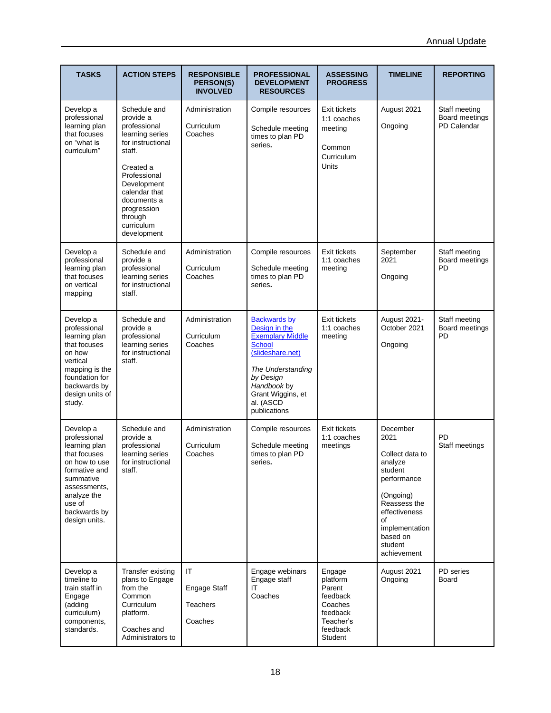| <b>TASKS</b>                                                                                                                                                                        | <b>ACTION STEPS</b>                                                                                                                                                                                                            | <b>RESPONSIBLE</b><br>PERSON(S)<br><b>INVOLVED</b> | <b>PROFESSIONAL</b><br><b>DEVELOPMENT</b><br><b>RESOURCES</b>                                                                                                                                           | <b>ASSESSING</b><br><b>PROGRESS</b>                                                                 | <b>TIMELINE</b>                                                                                                                                                                      | <b>REPORTING</b>                               |
|-------------------------------------------------------------------------------------------------------------------------------------------------------------------------------------|--------------------------------------------------------------------------------------------------------------------------------------------------------------------------------------------------------------------------------|----------------------------------------------------|---------------------------------------------------------------------------------------------------------------------------------------------------------------------------------------------------------|-----------------------------------------------------------------------------------------------------|--------------------------------------------------------------------------------------------------------------------------------------------------------------------------------------|------------------------------------------------|
| Develop a<br>professional<br>learning plan<br>that focuses<br>on "what is<br>curriculum"                                                                                            | Schedule and<br>provide a<br>professional<br>learning series<br>for instructional<br>staff.<br>Created a<br>Professional<br>Development<br>calendar that<br>documents a<br>progression<br>through<br>curriculum<br>development | Administration<br>Curriculum<br>Coaches            | Compile resources<br>Schedule meeting<br>times to plan PD<br>series.                                                                                                                                    | Exit tickets<br>1:1 coaches<br>meeting<br>Common<br>Curriculum<br>Units                             | August 2021<br>Ongoing                                                                                                                                                               | Staff meeting<br>Board meetings<br>PD Calendar |
| Develop a<br>professional<br>learning plan<br>that focuses<br>on vertical<br>mapping                                                                                                | Schedule and<br>provide a<br>professional<br>learning series<br>for instructional<br>staff.                                                                                                                                    | Administration<br>Curriculum<br>Coaches            | Compile resources<br>Schedule meeting<br>times to plan PD<br>series.                                                                                                                                    | Exit tickets<br>1:1 coaches<br>meeting                                                              | September<br>2021<br>Ongoing                                                                                                                                                         | Staff meeting<br>Board meetings<br>PD          |
| Develop a<br>professional<br>learning plan<br>that focuses<br>on how<br>vertical<br>mapping is the<br>foundation for<br>backwards by<br>design units of<br>study.                   | Schedule and<br>provide a<br>professional<br>learning series<br>for instructional<br>staff.                                                                                                                                    | Administration<br>Curriculum<br>Coaches            | <b>Backwards by</b><br>Design in the<br><b>Exemplary Middle</b><br><b>School</b><br>(slideshare.net)<br>The Understanding<br>by Design<br>Handbook by<br>Grant Wiggins, et<br>al. (ASCD<br>publications | Exit tickets<br>1:1 coaches<br>meeting                                                              | August 2021-<br>October 2021<br>Ongoing                                                                                                                                              | Staff meeting<br>Board meetings<br>PD          |
| Develop a<br>professional<br>learning plan<br>that focuses<br>on how to use<br>formative and<br>summative<br>assessments,<br>analyze the<br>use of<br>backwards by<br>design units. | Schedule and<br>provide a<br>professional<br>learning series<br>for instructional<br>staff.                                                                                                                                    | Administration<br>Curriculum<br>Coaches            | Compile resources<br>Schedule meeting<br>times to plan PD<br>series.                                                                                                                                    | Exit tickets<br>1:1 coaches<br>meetings                                                             | December<br>2021<br>Collect data to<br>analyze<br>student<br>performance<br>(Ongoing)<br>Reassess the<br>effectiveness<br>οf<br>implementation<br>based on<br>student<br>achievement | PD<br>Staff meetings                           |
| Develop a<br>timeline to<br>train staff in<br>Engage<br>(adding<br>curriculum)<br>components,<br>standards.                                                                         | Transfer existing<br>plans to Engage<br>from the<br>Common<br>Curriculum<br>platform.<br>Coaches and<br>Administrators to                                                                                                      | IT<br>Engage Staff<br><b>Teachers</b><br>Coaches   | Engage webinars<br>Engage staff<br>IΤ<br>Coaches                                                                                                                                                        | Engage<br>platform<br>Parent<br>feedback<br>Coaches<br>feedback<br>Teacher's<br>feedback<br>Student | August 2021<br>Ongoing                                                                                                                                                               | PD series<br>Board                             |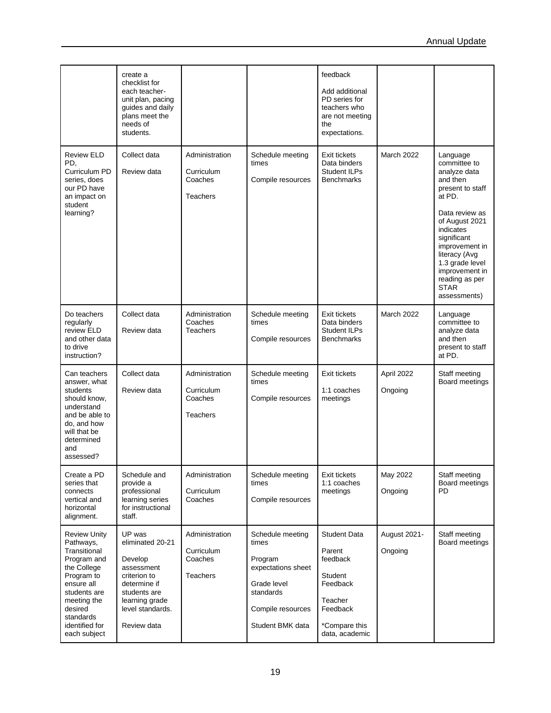|                                                                                                                                                                                                     | create a<br>checklist for<br>each teacher-<br>unit plan, pacing<br>guides and daily<br>plans meet the<br>needs of<br>students.                           |                                                            |                                                                                                                                 | feedback<br>Add additional<br>PD series for<br>teachers who<br>are not meeting<br>the<br>expectations.                            |                         |                                                                                                                                                                                                                                                                             |
|-----------------------------------------------------------------------------------------------------------------------------------------------------------------------------------------------------|----------------------------------------------------------------------------------------------------------------------------------------------------------|------------------------------------------------------------|---------------------------------------------------------------------------------------------------------------------------------|-----------------------------------------------------------------------------------------------------------------------------------|-------------------------|-----------------------------------------------------------------------------------------------------------------------------------------------------------------------------------------------------------------------------------------------------------------------------|
| <b>Review ELD</b><br>PD.<br>Curriculum PD<br>series, does<br>our PD have<br>an impact on<br>student<br>learning?                                                                                    | Collect data<br>Review data                                                                                                                              | Administration<br>Curriculum<br>Coaches<br><b>Teachers</b> | Schedule meeting<br>times<br>Compile resources                                                                                  | Exit tickets<br>Data binders<br>Student ILPs<br><b>Benchmarks</b>                                                                 | <b>March 2022</b>       | Language<br>committee to<br>analyze data<br>and then<br>present to staff<br>at PD.<br>Data review as<br>of August 2021<br>indicates<br>significant<br>improvement in<br>literacy (Avg<br>1.3 grade level<br>improvement in<br>reading as per<br><b>STAR</b><br>assessments) |
| Do teachers<br>regularly<br>review ELD<br>and other data<br>to drive<br>instruction?                                                                                                                | Collect data<br>Review data                                                                                                                              | Administration<br>Coaches<br><b>Teachers</b>               | Schedule meeting<br>times<br>Compile resources                                                                                  | Exit tickets<br>Data binders<br>Student ILPs<br><b>Benchmarks</b>                                                                 | March 2022              | Language<br>committee to<br>analyze data<br>and then<br>present to staff<br>at PD.                                                                                                                                                                                          |
| Can teachers<br>answer, what<br>students<br>should know,<br>understand<br>and be able to<br>do, and how<br>will that be<br>determined<br>and<br>assessed?                                           | Collect data<br>Review data                                                                                                                              | Administration<br>Curriculum<br>Coaches<br>Teachers        | Schedule meeting<br>times<br>Compile resources                                                                                  | Exit tickets<br>1:1 coaches<br>meetings                                                                                           | April 2022<br>Ongoing   | Staff meeting<br>Board meetings                                                                                                                                                                                                                                             |
| Create a PD<br>series that<br>connects<br>vertical and<br>horizontal<br>alignment.                                                                                                                  | Schedule and<br>provide a<br>professional<br>learning series<br>for instructional<br>staff.                                                              | Administration<br>Curriculum<br>Coaches                    | Schedule meeting<br>times<br>Compile resources                                                                                  | Exit tickets<br>1:1 coaches<br>meetings                                                                                           | May 2022<br>Ongoing     | Staff meeting<br>Board meetings<br><b>PD</b>                                                                                                                                                                                                                                |
| <b>Review Unity</b><br>Pathways,<br>Transitional<br>Program and<br>the College<br>Program to<br>ensure all<br>students are<br>meeting the<br>desired<br>standards<br>identified for<br>each subject | UP was<br>eliminated 20-21<br>Develop<br>assessment<br>criterion to<br>determine if<br>students are<br>learning grade<br>level standards.<br>Review data | Administration<br>Curriculum<br>Coaches<br><b>Teachers</b> | Schedule meeting<br>times<br>Program<br>expectations sheet<br>Grade level<br>standards<br>Compile resources<br>Student BMK data | <b>Student Data</b><br>Parent<br>feedback<br><b>Student</b><br>Feedback<br>Teacher<br>Feedback<br>*Compare this<br>data, academic | August 2021-<br>Ongoing | Staff meeting<br>Board meetings                                                                                                                                                                                                                                             |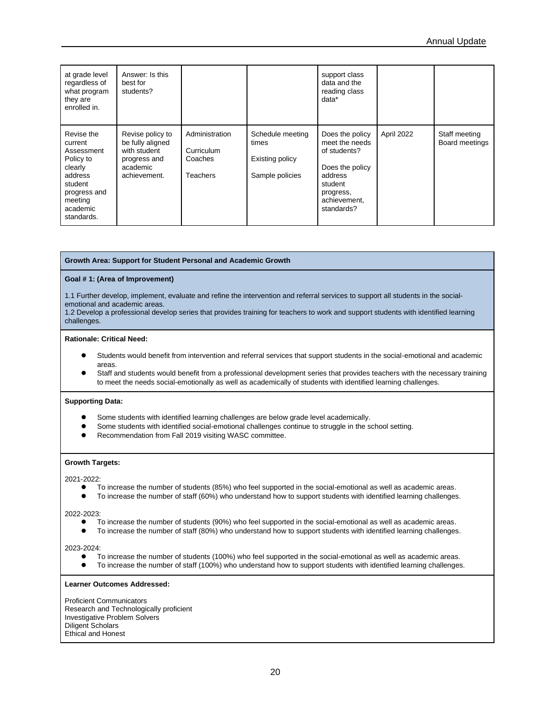| at grade level<br>regardless of<br>what program<br>they are<br>enrolled in.                                                            | Answer: Is this<br>best for<br>students?                                                         |                                                            |                                                                 | support class<br>data and the<br>reading class<br>data*                                                                               |            |                                 |
|----------------------------------------------------------------------------------------------------------------------------------------|--------------------------------------------------------------------------------------------------|------------------------------------------------------------|-----------------------------------------------------------------|---------------------------------------------------------------------------------------------------------------------------------------|------------|---------------------------------|
| Revise the<br>current<br>Assessment<br>Policy to<br>clearly<br>address<br>student<br>progress and<br>meeting<br>academic<br>standards. | Revise policy to<br>be fully aligned<br>with student<br>progress and<br>academic<br>achievement. | Administration<br>Curriculum<br>Coaches<br><b>Teachers</b> | Schedule meeting<br>times<br>Existing policy<br>Sample policies | Does the policy<br>meet the needs<br>of students?<br>Does the policy<br>address<br>student<br>progress,<br>achievement,<br>standards? | April 2022 | Staff meeting<br>Board meetings |

### **Growth Area: Support for Student Personal and Academic Growth**

### **Goal # 1: (Area of Improvement)**

1.1 Further develop, implement, evaluate and refine the intervention and referral services to support all students in the socialemotional and academic areas.

1.2 Develop a professional develop series that provides training for teachers to work and support students with identified learning challenges.

### **Rationale: Critical Need:**

- ⚫ Students would benefit from intervention and referral services that support students in the social-emotional and academic areas.
- ⚫ Staff and students would benefit from a professional development series that provides teachers with the necessary training to meet the needs social-emotionally as well as academically of students with identified learning challenges.

### **Supporting Data:**

- ⚫ Some students with identified learning challenges are below grade level academically.
- ⚫ Some students with identified social-emotional challenges continue to struggle in the school setting.
- ⚫ Recommendation from Fall 2019 visiting WASC committee.

### **Growth Targets:**

2021-2022:

- ⚫ To increase the number of students (85%) who feel supported in the social-emotional as well as academic areas.
- ⚫ To increase the number of staff (60%) who understand how to support students with identified learning challenges.

#### 2022-2023:

- To increase the number of students (90%) who feel supported in the social-emotional as well as academic areas.
- To increase the number of staff (80%) who understand how to support students with identified learning challenges.

2023-2024:

- ⚫ To increase the number of students (100%) who feel supported in the social-emotional as well as academic areas.
- To increase the number of staff (100%) who understand how to support students with identified learning challenges.

#### **Learner Outcomes Addressed:**

Proficient Communicators Research and Technologically proficient Investigative Problem Solvers Diligent Scholars Ethical and Honest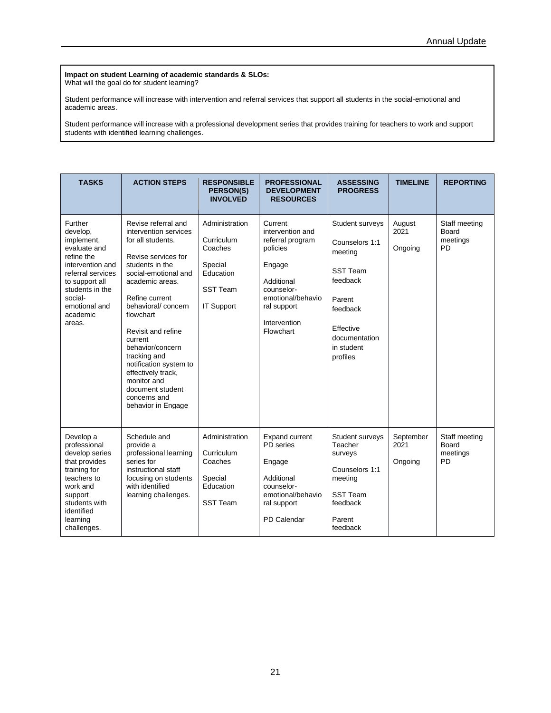#### **Impact on student Learning of academic standards & SLOs:** What will the goal do for student learning?

Student performance will increase with intervention and referral services that support all students in the social-emotional and academic areas.

Student performance will increase with a professional development series that provides training for teachers to work and support students with identified learning challenges.

| <b>TASKS</b>                                                                                                                                                                                    | <b>ACTION STEPS</b>                                                                                                                                                                                                                                                                                                                                                                                       | <b>RESPONSIBLE</b><br><b>PERSON(S)</b><br><b>INVOLVED</b>                                        | <b>PROFESSIONAL</b><br><b>DEVELOPMENT</b><br><b>RESOURCES</b>                                                                                                      | <b>ASSESSING</b><br><b>PROGRESS</b>                                                                                                                       | <b>TIMELINE</b>              | <b>REPORTING</b>                                |
|-------------------------------------------------------------------------------------------------------------------------------------------------------------------------------------------------|-----------------------------------------------------------------------------------------------------------------------------------------------------------------------------------------------------------------------------------------------------------------------------------------------------------------------------------------------------------------------------------------------------------|--------------------------------------------------------------------------------------------------|--------------------------------------------------------------------------------------------------------------------------------------------------------------------|-----------------------------------------------------------------------------------------------------------------------------------------------------------|------------------------------|-------------------------------------------------|
| Further<br>develop,<br>implement,<br>evaluate and<br>refine the<br>intervention and<br>referral services<br>to support all<br>students in the<br>social-<br>emotional and<br>academic<br>areas. | Revise referral and<br>intervention services<br>for all students.<br>Revise services for<br>students in the<br>social-emotional and<br>academic areas.<br>Refine current<br>behavioral/concern<br>flowchart<br>Revisit and refine<br>current<br>behavior/concern<br>tracking and<br>notification system to<br>effectively track,<br>monitor and<br>document student<br>concerns and<br>behavior in Engage | Administration<br>Curriculum<br>Coaches<br>Special<br>Education<br><b>SST Team</b><br>IT Support | Current<br>intervention and<br>referral program<br>policies<br>Engage<br>Additional<br>counselor-<br>emotional/behavio<br>ral support<br>Intervention<br>Flowchart | Student surveys<br>Counselors 1:1<br>meeting<br><b>SST Team</b><br>feedback<br>Parent<br>feedback<br>Effective<br>documentation<br>in student<br>profiles | August<br>2021<br>Ongoing    | Staff meeting<br>Board<br>meetings<br><b>PD</b> |
| Develop a<br>professional<br>develop series<br>that provides<br>training for<br>teachers to<br>work and<br>support<br>students with<br>identified<br>learning<br>challenges.                    | Schedule and<br>provide a<br>professional learning<br>series for<br>instructional staff<br>focusing on students<br>with identified<br>learning challenges.                                                                                                                                                                                                                                                | Administration<br>Curriculum<br>Coaches<br>Special<br>Education<br><b>SST Team</b>               | <b>Expand current</b><br>PD series<br>Engage<br>Additional<br>counselor-<br>emotional/behavio<br>ral support<br>PD Calendar                                        | Student surveys<br>Teacher<br>surveys<br>Counselors 1:1<br>meeting<br><b>SST Team</b><br>feedback<br>Parent<br>feedback                                   | September<br>2021<br>Ongoing | Staff meeting<br>Board<br>meetings<br><b>PD</b> |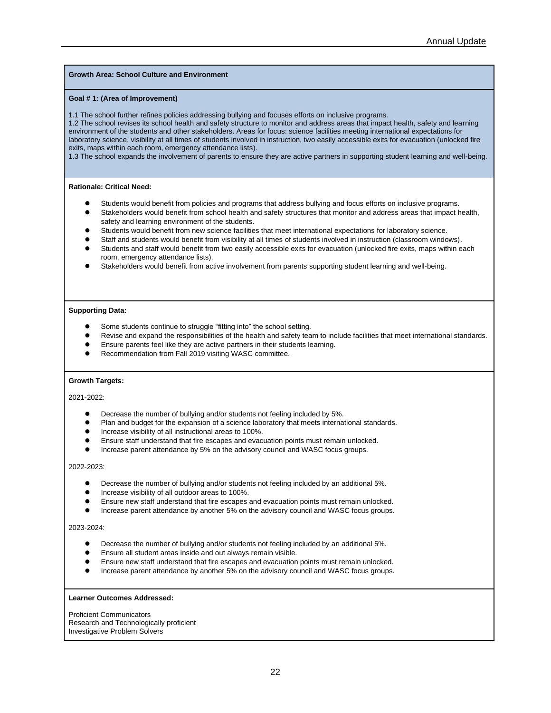### **Growth Area: School Culture and Environment**

### **Goal # 1: (Area of Improvement)**

1.1 The school further refines policies addressing bullying and focuses efforts on inclusive programs.

1.2 The school revises its school health and safety structure to monitor and address areas that impact health, safety and learning environment of the students and other stakeholders. Areas for focus: science facilities meeting international expectations for laboratory science, visibility at all times of students involved in instruction, two easily accessible exits for evacuation (unlocked fire exits, maps within each room, emergency attendance lists).

1.3 The school expands the involvement of parents to ensure they are active partners in supporting student learning and well-being.

### **Rationale: Critical Need:**

- ⚫ Students would benefit from policies and programs that address bullying and focus efforts on inclusive programs.
- Stakeholders would benefit from school health and safety structures that monitor and address areas that impact health, safety and learning environment of the students.
- ⚫ Students would benefit from new science facilities that meet international expectations for laboratory science.
- ⚫ Staff and students would benefit from visibility at all times of students involved in instruction (classroom windows).
- ⚫ Students and staff would benefit from two easily accessible exits for evacuation (unlocked fire exits, maps within each room, emergency attendance lists).
- ⚫ Stakeholders would benefit from active involvement from parents supporting student learning and well-being.

### **Supporting Data:**

- ⚫ Some students continue to struggle "fitting into" the school setting.
- ⚫ Revise and expand the responsibilities of the health and safety team to include facilities that meet international standards.
- ⚫ Ensure parents feel like they are active partners in their students learning.
- ⚫ Recommendation from Fall 2019 visiting WASC committee.

### **Growth Targets:**

### 2021-2022:

- ⚫ Decrease the number of bullying and/or students not feeling included by 5%.
- Plan and budget for the expansion of a science laboratory that meets international standards.
- ⚫ Increase visibility of all instructional areas to 100%.
- ⚫ Ensure staff understand that fire escapes and evacuation points must remain unlocked.
- ⚫ Increase parent attendance by 5% on the advisory council and WASC focus groups.

### 2022-2023:

- Decrease the number of bullying and/or students not feeling included by an additional 5%.
- ⚫ Increase visibility of all outdoor areas to 100%.
- ⚫ Ensure new staff understand that fire escapes and evacuation points must remain unlocked.
- ⚫ Increase parent attendance by another 5% on the advisory council and WASC focus groups.

#### 2023-2024:

- ⚫ Decrease the number of bullying and/or students not feeling included by an additional 5%.
- ⚫ Ensure all student areas inside and out always remain visible.
- ⚫ Ensure new staff understand that fire escapes and evacuation points must remain unlocked.
- ⚫ Increase parent attendance by another 5% on the advisory council and WASC focus groups.

### **Learner Outcomes Addressed:**

Proficient Communicators Research and Technologically proficient Investigative Problem Solvers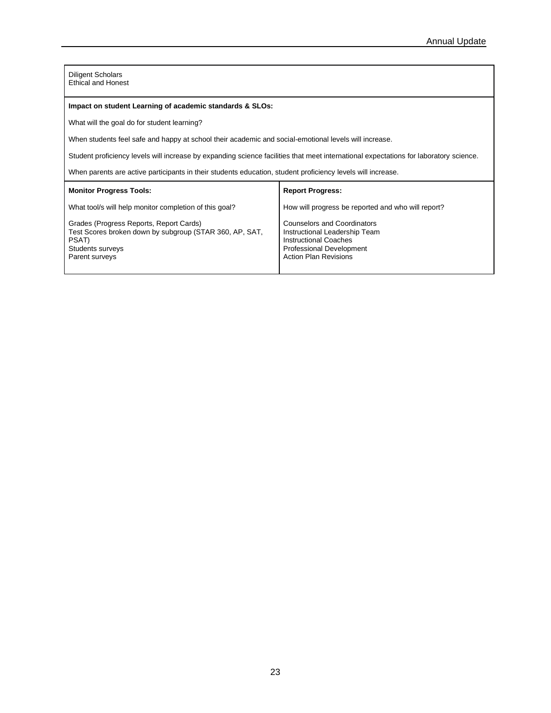Diligent Scholars Ethical and Honest

### **Impact on student Learning of academic standards & SLOs:**

What will the goal do for student learning?

When students feel safe and happy at school their academic and social-emotional levels will increase.

Student proficiency levels will increase by expanding science facilities that meet international expectations for laboratory science.

When parents are active participants in their students education, student proficiency levels will increase.

| <b>Monitor Progress Tools:</b>                                                                                                                    | <b>Report Progress:</b>                                                                                                                                         |
|---------------------------------------------------------------------------------------------------------------------------------------------------|-----------------------------------------------------------------------------------------------------------------------------------------------------------------|
| What tool/s will help monitor completion of this goal?                                                                                            | How will progress be reported and who will report?                                                                                                              |
| Grades (Progress Reports, Report Cards)<br>Test Scores broken down by subgroup (STAR 360, AP, SAT,<br>PSAT)<br>Students surveys<br>Parent surveys | <b>Counselors and Coordinators</b><br>Instructional Leadership Team<br>Instructional Coaches<br><b>Professional Development</b><br><b>Action Plan Revisions</b> |